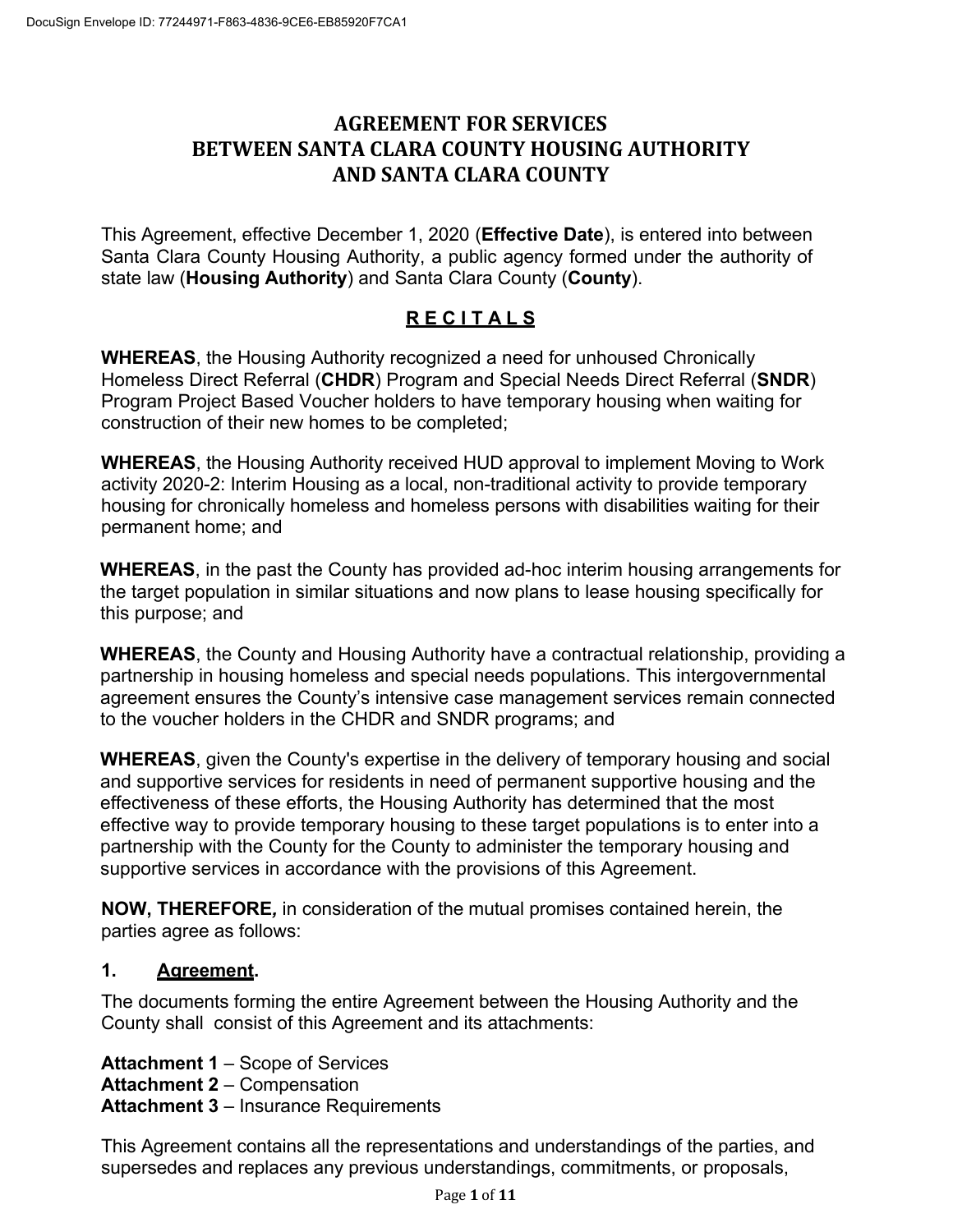# **AGREEMENT FOR SERVICES BETWEEN SANTA CLARA COUNTY HOUSING AUTHORITY AND SANTA CLARA COUNTY**

This Agreement, effective December 1, 2020 (**Effective Date**), is entered into between Santa Clara County Housing Authority, a public agency formed under the authority of state law (**Housing Authority**) and Santa Clara County (**County**).

# **R E C I T A L S**

**WHEREAS**, the Housing Authority recognized a need for unhoused Chronically Homeless Direct Referral (**CHDR**) Program and Special Needs Direct Referral (**SNDR**) Program Project Based Voucher holders to have temporary housing when waiting for construction of their new homes to be completed;

**WHEREAS**, the Housing Authority received HUD approval to implement Moving to Work activity 2020-2: Interim Housing as a local, non-traditional activity to provide temporary housing for chronically homeless and homeless persons with disabilities waiting for their permanent home; and

**WHEREAS**, in the past the County has provided ad-hoc interim housing arrangements for the target population in similar situations and now plans to lease housing specifically for this purpose; and

**WHEREAS**, the County and Housing Authority have a contractual relationship, providing a partnership in housing homeless and special needs populations. This intergovernmental agreement ensures the County's intensive case management services remain connected to the voucher holders in the CHDR and SNDR programs; and

**WHEREAS**, given the County's expertise in the delivery of temporary housing and social and supportive services for residents in need of permanent supportive housing and the effectiveness of these efforts, the Housing Authority has determined that the most effective way to provide temporary housing to these target populations is to enter into a partnership with the County for the County to administer the temporary housing and supportive services in accordance with the provisions of this Agreement.

**NOW, THEREFORE***,* in consideration of the mutual promises contained herein, the parties agree as follows:

#### **1. Agreement.**

The documents forming the entire Agreement between the Housing Authority and the County shall consist of this Agreement and its attachments:

**Attachment 1** – Scope of Services **Attachment 2** – Compensation **Attachment 3** – Insurance Requirements

This Agreement contains all the representations and understandings of the parties, and supersedes and replaces any previous understandings, commitments, or proposals,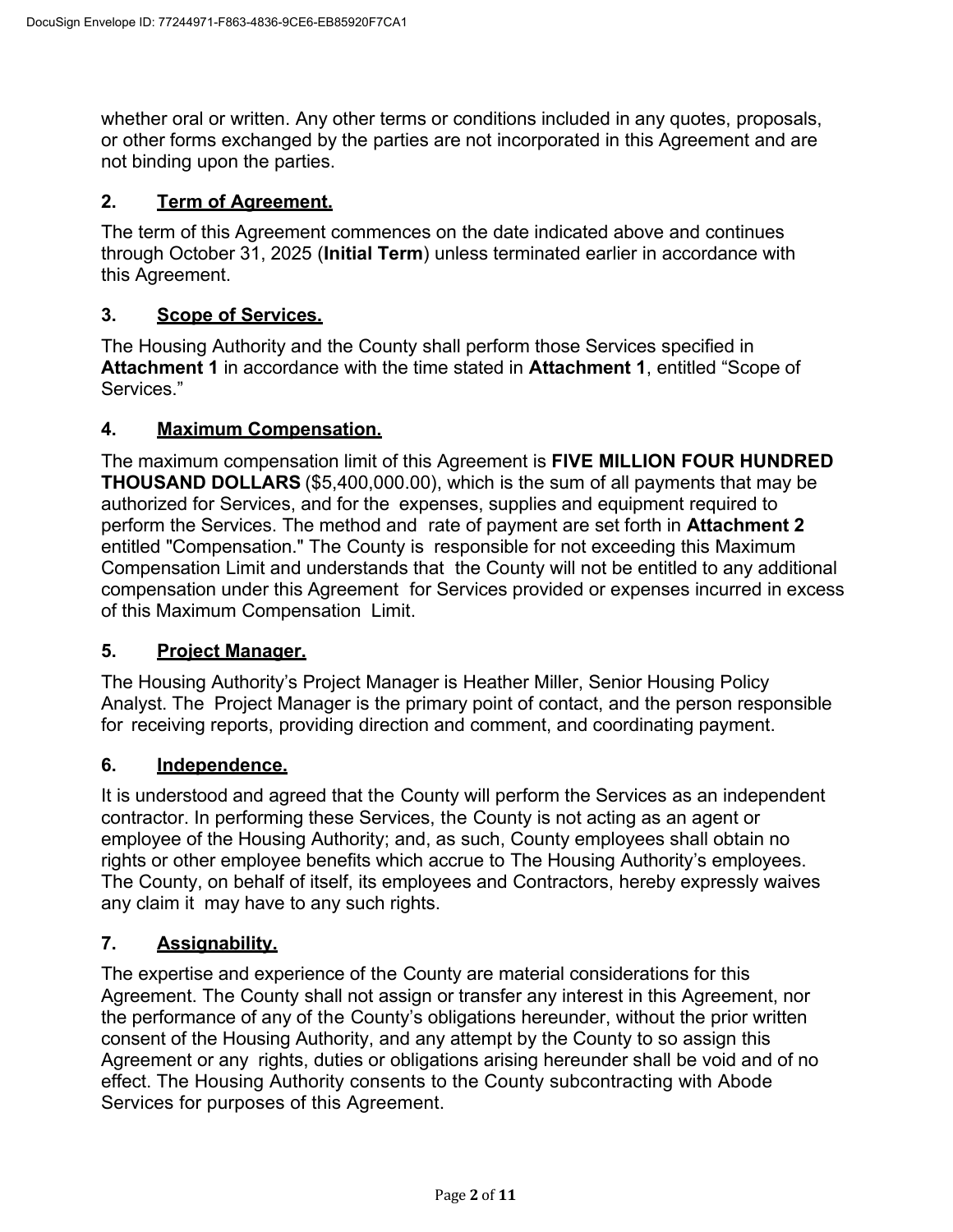whether oral or written. Any other terms or conditions included in any quotes, proposals, or other forms exchanged by the parties are not incorporated in this Agreement and are not binding upon the parties.

#### **2. Term of Agreement.**

The term of this Agreement commences on the date indicated above and continues through October 31, 2025 (**Initial Term**) unless terminated earlier in accordance with this Agreement.

### **3. Scope of Services.**

The Housing Authority and the County shall perform those Services specified in **Attachment 1** in accordance with the time stated in **Attachment 1**, entitled "Scope of Services."

#### **4. Maximum Compensation.**

The maximum compensation limit of this Agreement is **FIVE MILLION FOUR HUNDRED THOUSAND DOLLARS** (\$5,400,000.00), which is the sum of all payments that may be authorized for Services, and for the expenses, supplies and equipment required to perform the Services. The method and rate of payment are set forth in **Attachment 2**  entitled "Compensation." The County is responsible for not exceeding this Maximum Compensation Limit and understands that the County will not be entitled to any additional compensation under this Agreement for Services provided or expenses incurred in excess of this Maximum Compensation Limit.

#### **5. Project Manager.**

The Housing Authority's Project Manager is Heather Miller, Senior Housing Policy Analyst. The Project Manager is the primary point of contact, and the person responsible for receiving reports, providing direction and comment, and coordinating payment.

#### **6. Independence.**

It is understood and agreed that the County will perform the Services as an independent contractor. In performing these Services, the County is not acting as an agent or employee of the Housing Authority; and, as such, County employees shall obtain no rights or other employee benefits which accrue to The Housing Authority's employees. The County, on behalf of itself, its employees and Contractors, hereby expressly waives any claim it may have to any such rights.

#### **7. Assignability.**

The expertise and experience of the County are material considerations for this Agreement. The County shall not assign or transfer any interest in this Agreement, nor the performance of any of the County's obligations hereunder, without the prior written consent of the Housing Authority, and any attempt by the County to so assign this Agreement or any rights, duties or obligations arising hereunder shall be void and of no effect. The Housing Authority consents to the County subcontracting with Abode Services for purposes of this Agreement.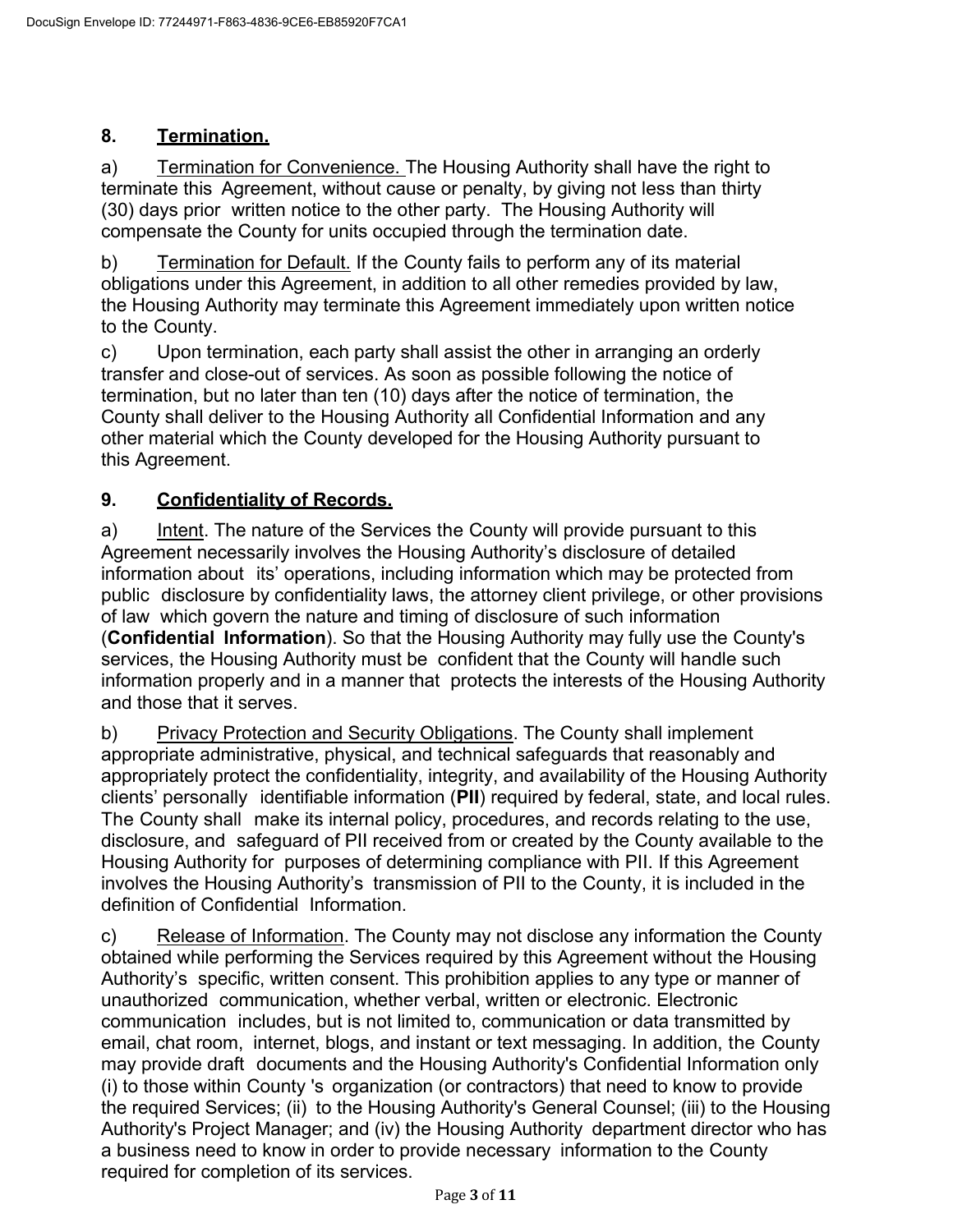## **8. Termination.**

a) Termination for Convenience. The Housing Authority shall have the right to terminate this Agreement, without cause or penalty, by giving not less than thirty (30) days prior written notice to the other party. The Housing Authority will compensate the County for units occupied through the termination date.

b) Termination for Default. If the County fails to perform any of its material obligations under this Agreement, in addition to all other remedies provided by law, the Housing Authority may terminate this Agreement immediately upon written notice to the County.

c) Upon termination, each party shall assist the other in arranging an orderly transfer and close-out of services. As soon as possible following the notice of termination, but no later than ten (10) days after the notice of termination, the County shall deliver to the Housing Authority all Confidential Information and any other material which the County developed for the Housing Authority pursuant to this Agreement.

## **9. Confidentiality of Records.**

a) Intent. The nature of the Services the County will provide pursuant to this Agreement necessarily involves the Housing Authority's disclosure of detailed information about its' operations, including information which may be protected from public disclosure by confidentiality laws, the attorney client privilege, or other provisions of law which govern the nature and timing of disclosure of such information (**Confidential Information**). So that the Housing Authority may fully use the County's services, the Housing Authority must be confident that the County will handle such information properly and in a manner that protects the interests of the Housing Authority and those that it serves.

b) Privacy Protection and Security Obligations. The County shall implement appropriate administrative, physical, and technical safeguards that reasonably and appropriately protect the confidentiality, integrity, and availability of the Housing Authority clients' personally identifiable information (**PII**) required by federal, state, and local rules. The County shall make its internal policy, procedures, and records relating to the use, disclosure, and safeguard of PII received from or created by the County available to the Housing Authority for purposes of determining compliance with PII. If this Agreement involves the Housing Authority's transmission of PII to the County, it is included in the definition of Confidential Information.

c) Release of Information. The County may not disclose any information the County obtained while performing the Services required by this Agreement without the Housing Authority's specific, written consent. This prohibition applies to any type or manner of unauthorized communication, whether verbal, written or electronic. Electronic communication includes, but is not limited to, communication or data transmitted by email, chat room, internet, blogs, and instant or text messaging. In addition, the County may provide draft documents and the Housing Authority's Confidential Information only (i) to those within County 's organization (or contractors) that need to know to provide the required Services; (ii) to the Housing Authority's General Counsel; (iii) to the Housing Authority's Project Manager; and (iv) the Housing Authority department director who has a business need to know in order to provide necessary information to the County required for completion of its services.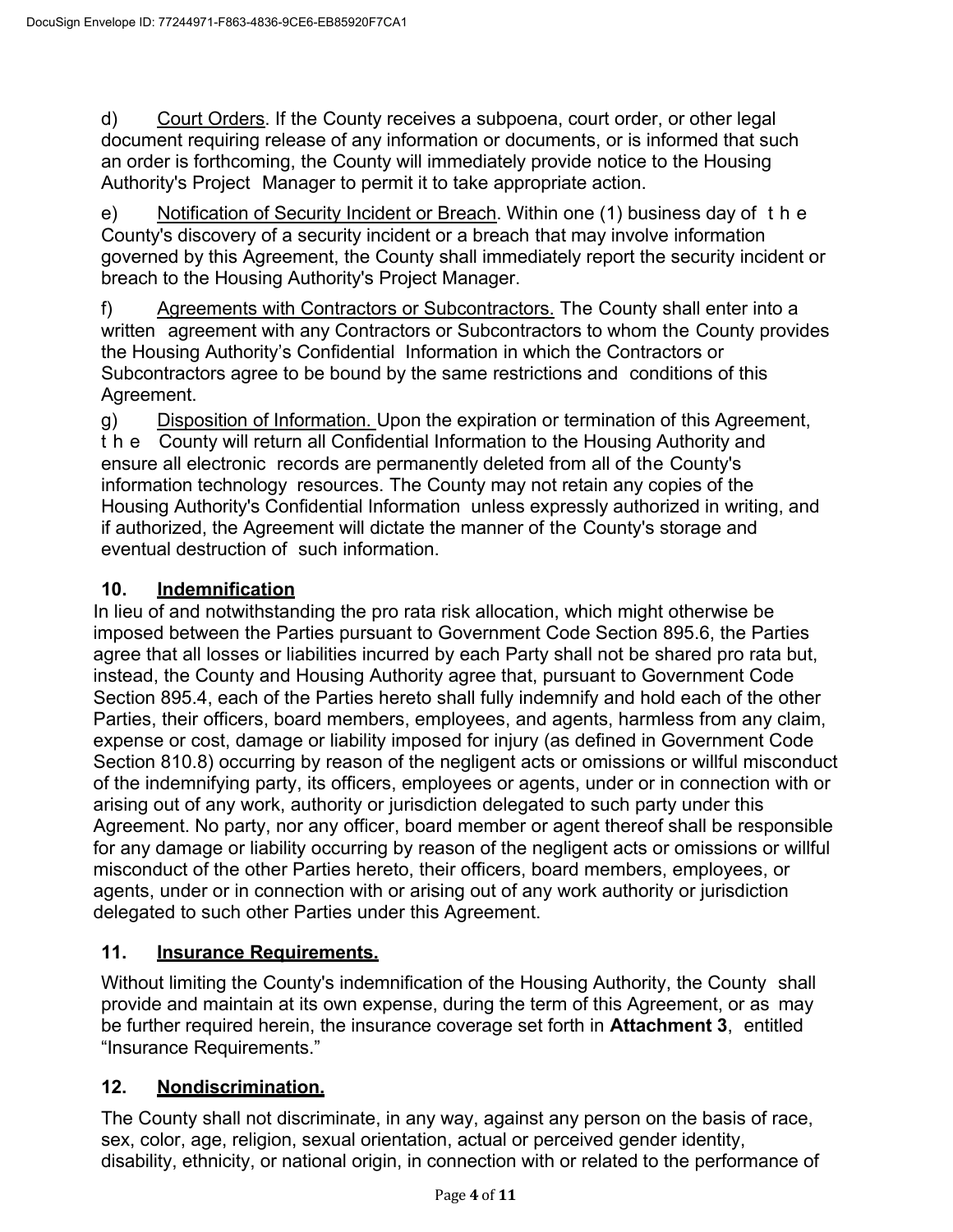d) Court Orders. If the County receives a subpoena, court order, or other legal document requiring release of any information or documents, or is informed that such an order is forthcoming, the County will immediately provide notice to the Housing Authority's Project Manager to permit it to take appropriate action.

e) Notification of Security Incident or Breach. Within one (1) business day of t h e County's discovery of a security incident or a breach that may involve information governed by this Agreement, the County shall immediately report the security incident or breach to the Housing Authority's Project Manager.

f) Agreements with Contractors or Subcontractors. The County shall enter into a written agreement with any Contractors or Subcontractors to whom the County provides the Housing Authority's Confidential Information in which the Contractors or Subcontractors agree to be bound by the same restrictions and conditions of this Agreement.

g) Disposition of Information. Upon the expiration or termination of this Agreement, t h e County will return all Confidential Information to the Housing Authority and ensure all electronic records are permanently deleted from all of the County's information technology resources. The County may not retain any copies of the Housing Authority's Confidential Information unless expressly authorized in writing, and if authorized, the Agreement will dictate the manner of the County's storage and eventual destruction of such information.

# **10. Indemnification**

In lieu of and notwithstanding the pro rata risk allocation, which might otherwise be imposed between the Parties pursuant to Government Code Section 895.6, the Parties agree that all losses or liabilities incurred by each Party shall not be shared pro rata but, instead, the County and Housing Authority agree that, pursuant to Government Code Section 895.4, each of the Parties hereto shall fully indemnify and hold each of the other Parties, their officers, board members, employees, and agents, harmless from any claim, expense or cost, damage or liability imposed for injury (as defined in Government Code Section 810.8) occurring by reason of the negligent acts or omissions or willful misconduct of the indemnifying party, its officers, employees or agents, under or in connection with or arising out of any work, authority or jurisdiction delegated to such party under this Agreement. No party, nor any officer, board member or agent thereof shall be responsible for any damage or liability occurring by reason of the negligent acts or omissions or willful misconduct of the other Parties hereto, their officers, board members, employees, or agents, under or in connection with or arising out of any work authority or jurisdiction delegated to such other Parties under this Agreement.

# **11. Insurance Requirements.**

Without limiting the County's indemnification of the Housing Authority, the County shall provide and maintain at its own expense, during the term of this Agreement, or as may be further required herein, the insurance coverage set forth in **Attachment 3**, entitled "Insurance Requirements."

# **12. Nondiscrimination.**

The County shall not discriminate, in any way, against any person on the basis of race, sex, color, age, religion, sexual orientation, actual or perceived gender identity, disability, ethnicity, or national origin, in connection with or related to the performance of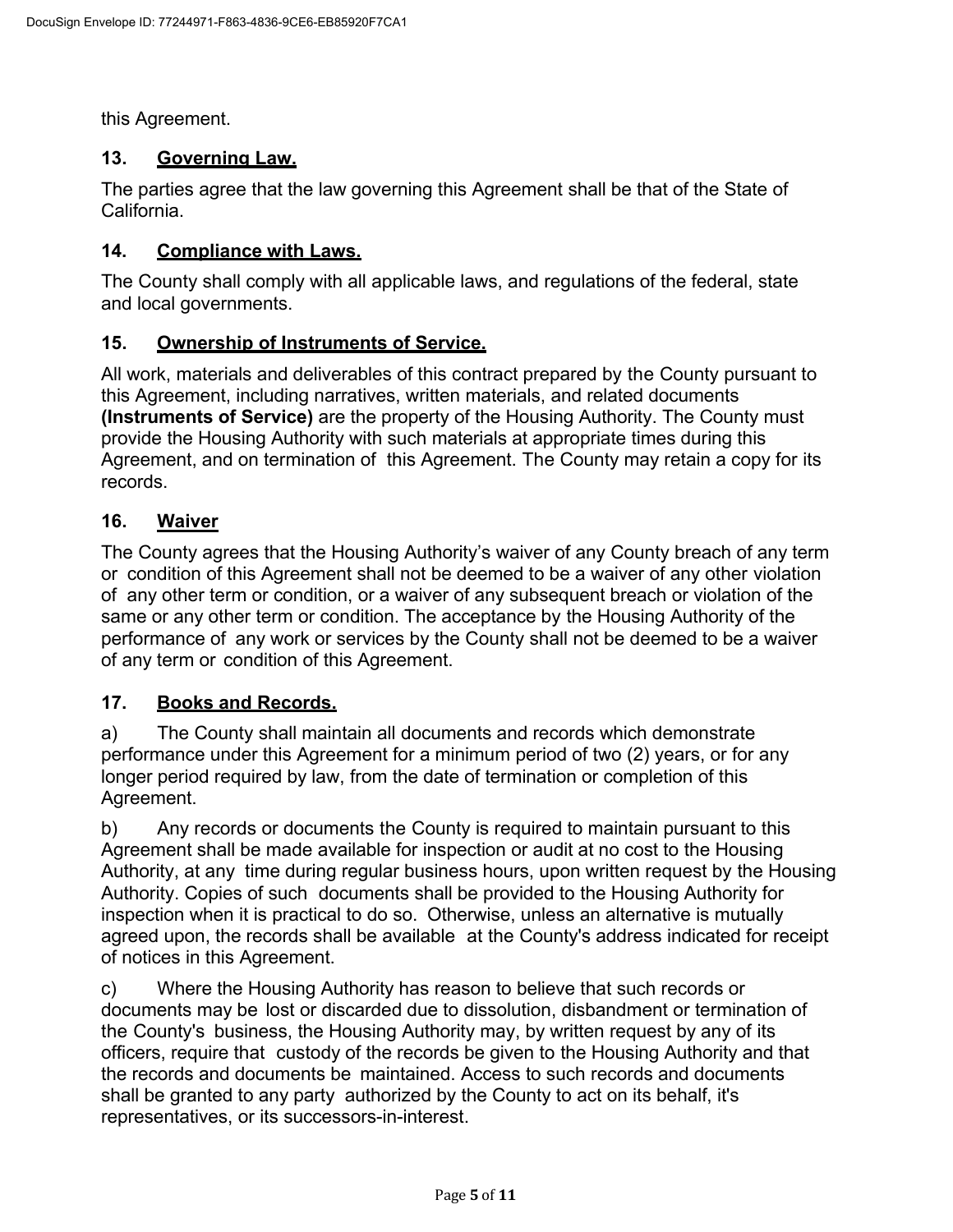this Agreement.

## **13. Governing Law.**

The parties agree that the law governing this Agreement shall be that of the State of California.

#### **14. Compliance with Laws.**

The County shall comply with all applicable laws, and regulations of the federal, state and local governments.

## **15. Ownership of Instruments of Service.**

All work, materials and deliverables of this contract prepared by the County pursuant to this Agreement, including narratives, written materials, and related documents **(Instruments of Service)** are the property of the Housing Authority. The County must provide the Housing Authority with such materials at appropriate times during this Agreement, and on termination of this Agreement. The County may retain a copy for its records.

## **16. Waiver**

The County agrees that the Housing Authority's waiver of any County breach of any term or condition of this Agreement shall not be deemed to be a waiver of any other violation of any other term or condition, or a waiver of any subsequent breach or violation of the same or any other term or condition. The acceptance by the Housing Authority of the performance of any work or services by the County shall not be deemed to be a waiver of any term or condition of this Agreement.

#### **17. Books and Records.**

a) The County shall maintain all documents and records which demonstrate performance under this Agreement for a minimum period of two (2) years, or for any longer period required by law, from the date of termination or completion of this Agreement.

b) Any records or documents the County is required to maintain pursuant to this Agreement shall be made available for inspection or audit at no cost to the Housing Authority, at any time during regular business hours, upon written request by the Housing Authority. Copies of such documents shall be provided to the Housing Authority for inspection when it is practical to do so. Otherwise, unless an alternative is mutually agreed upon, the records shall be available at the County's address indicated for receipt of notices in this Agreement.

c) Where the Housing Authority has reason to believe that such records or documents may be lost or discarded due to dissolution, disbandment or termination of the County's business, the Housing Authority may, by written request by any of its officers, require that custody of the records be given to the Housing Authority and that the records and documents be maintained. Access to such records and documents shall be granted to any party authorized by the County to act on its behalf, it's representatives, or its successors-in-interest.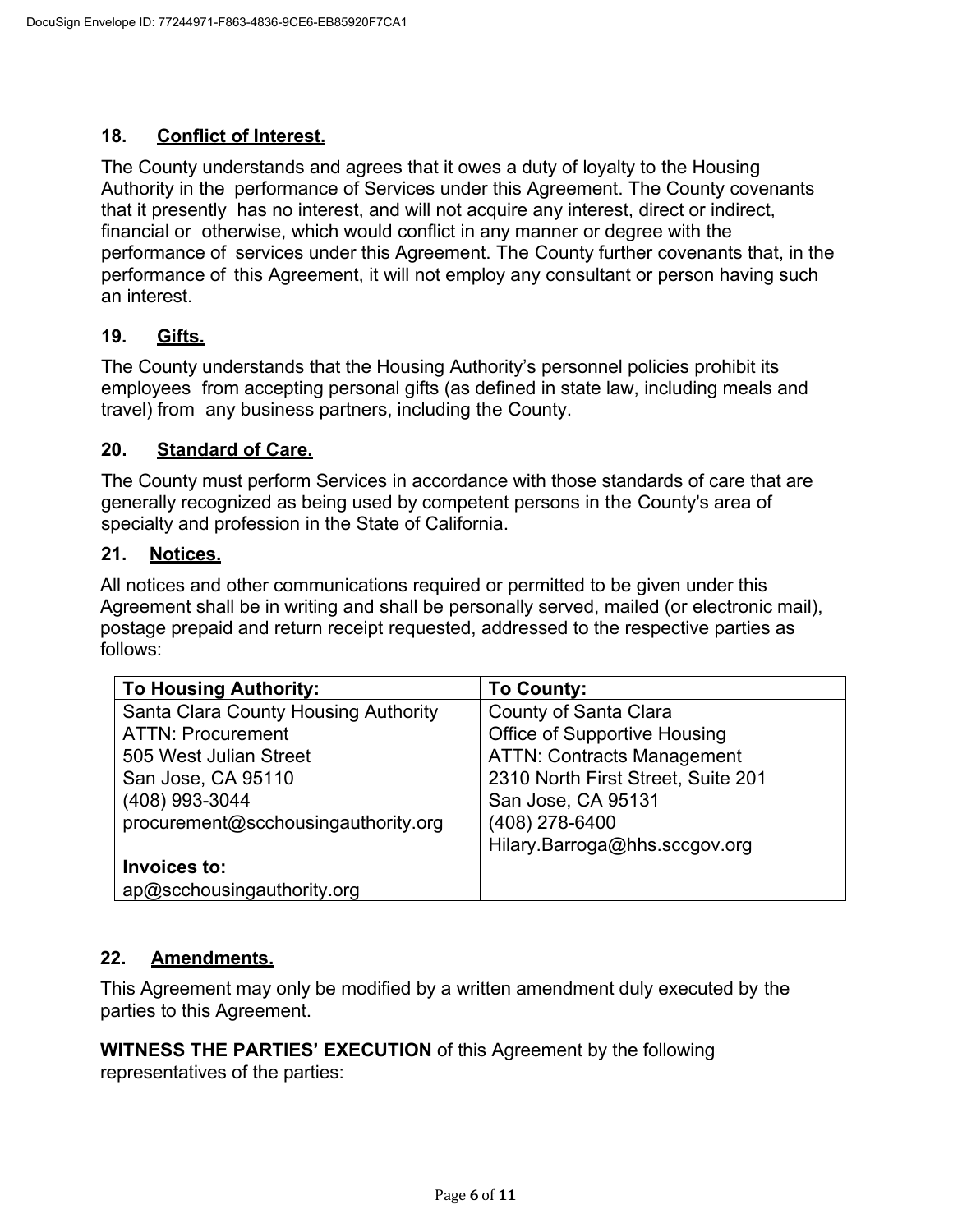## **18. Conflict of Interest.**

The County understands and agrees that it owes a duty of loyalty to the Housing Authority in the performance of Services under this Agreement. The County covenants that it presently has no interest, and will not acquire any interest, direct or indirect, financial or otherwise, which would conflict in any manner or degree with the performance of services under this Agreement. The County further covenants that, in the performance of this Agreement, it will not employ any consultant or person having such an interest.

## **19. Gifts.**

The County understands that the Housing Authority's personnel policies prohibit its employees from accepting personal gifts (as defined in state law, including meals and travel) from any business partners, including the County.

#### **20. Standard of Care.**

The County must perform Services in accordance with those standards of care that are generally recognized as being used by competent persons in the County's area of specialty and profession in the State of California.

#### **21. Notices.**

All notices and other communications required or permitted to be given under this Agreement shall be in writing and shall be personally served, mailed (or electronic mail), postage prepaid and return receipt requested, addressed to the respective parties as follows:

| <b>To Housing Authority:</b>                | To County:                          |
|---------------------------------------------|-------------------------------------|
| <b>Santa Clara County Housing Authority</b> | <b>County of Santa Clara</b>        |
| <b>ATTN: Procurement</b>                    | <b>Office of Supportive Housing</b> |
| 505 West Julian Street                      | <b>ATTN: Contracts Management</b>   |
| San Jose, CA 95110                          | 2310 North First Street, Suite 201  |
| (408) 993-3044                              | San Jose, CA 95131                  |
| procurement@scchousingauthority.org         | (408) 278-6400                      |
|                                             | Hilary.Barroga@hhs.sccgov.org       |
| Invoices to:                                |                                     |
| ap@scchousingauthority.org                  |                                     |

## **22. Amendments.**

This Agreement may only be modified by a written amendment duly executed by the parties to this Agreement.

#### **WITNESS THE PARTIES' EXECUTION** of this Agreement by the following representatives of the parties: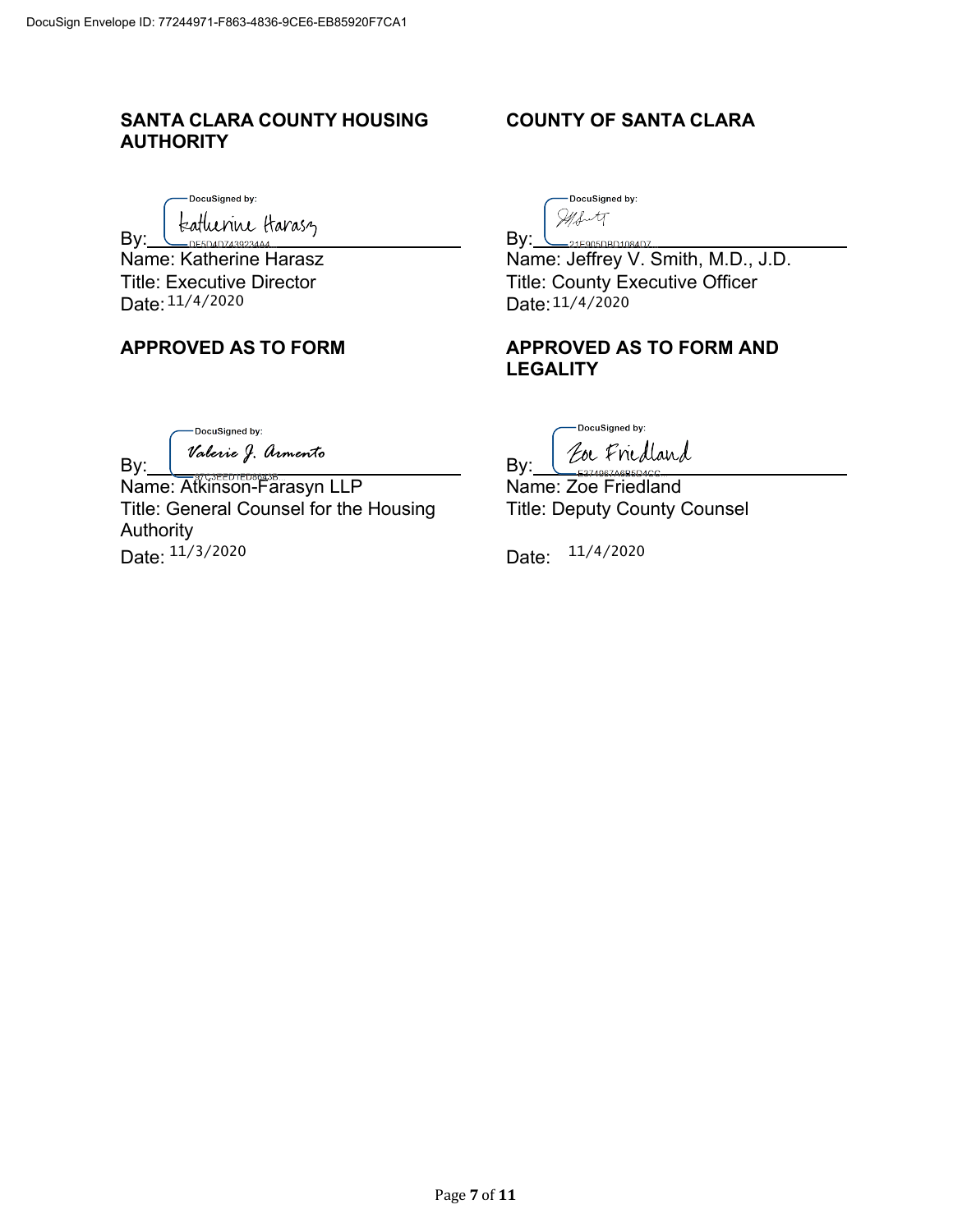#### **SANTA CLARA COUNTY HOUSING AUTHORITY**

DocuSigned by:  $\mathsf{By:}\_\_\_\_\_\_{{\sf DE5D4D7439234A4}}\qquad \qquad \qquad \mathsf{By:}\_{}$ 

Date: 11/4/2020 **Date:** 2010 **Date:** 2010 **Date:** 2010 **Date:** 2010 **Date:** 2010 **Date:** 2010 **Date:** 2010 **Date:** 2010 **Date:** 2010 **Date:** 2010 **Date:** 2010 **Date:** 2010 **Date:** 2010 **Date:** 2010 **Date:** 2010 **Date:** 20

**COUNTY OF SANTA CLARA** 

-DocuSigned by: Mfutt

 $-21F905DBD1084D7$ Name: Katherine Harasz Name: Jeffrey V. Smith, M.D., J.D. Title: Executive Director Title: County Executive Officer Date: 11/4/2020

## **APPROVED AS TO FORM APPROVED AS TO FORM AND LEGALITY**

DocuSigned by: By:  $\begin{array}{ccc} \hline \end{array}$  By:

Name: Atkinson-Farasyn LLP Name: Zoe Friedland Title: General Counsel for the Housing **Authority** Date: <sup>11/3/2020</sup> contract the Date:

DocuSigned by: Eor Friedland

Title: Deputy County Counsel

Date:  $11/4/2020$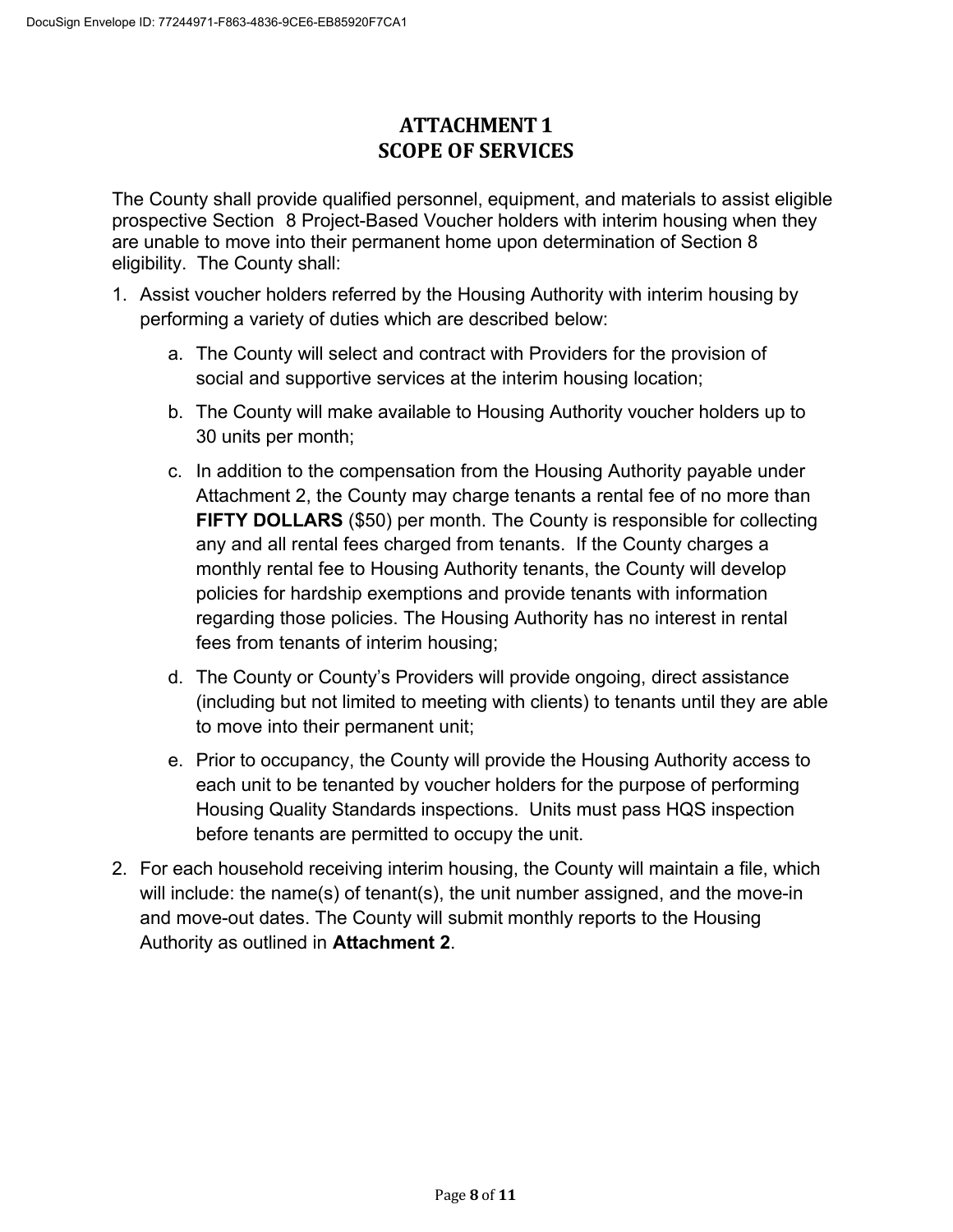# **ATTACHMENT1 SCOPE OF SERVICES**

The County shall provide qualified personnel, equipment, and materials to assist eligible prospective Section 8 Project-Based Voucher holders with interim housing when they are unable to move into their permanent home upon determination of Section 8 eligibility. The County shall:

- 1. Assist voucher holders referred by the Housing Authority with interim housing by performing a variety of duties which are described below:
	- a. The County will select and contract with Providers for the provision of social and supportive services at the interim housing location;
	- b. The County will make available to Housing Authority voucher holders up to 30 units per month;
	- c. In addition to the compensation from the Housing Authority payable under Attachment 2, the County may charge tenants a rental fee of no more than **FIFTY DOLLARS** (\$50) per month. The County is responsible for collecting any and all rental fees charged from tenants. If the County charges a monthly rental fee to Housing Authority tenants, the County will develop policies for hardship exemptions and provide tenants with information regarding those policies. The Housing Authority has no interest in rental fees from tenants of interim housing;
	- d. The County or County's Providers will provide ongoing, direct assistance (including but not limited to meeting with clients) to tenants until they are able to move into their permanent unit;
	- e. Prior to occupancy, the County will provide the Housing Authority access to each unit to be tenanted by voucher holders for the purpose of performing Housing Quality Standards inspections. Units must pass HQS inspection before tenants are permitted to occupy the unit.
- 2. For each household receiving interim housing, the County will maintain a file, which will include: the name(s) of tenant(s), the unit number assigned, and the move-in and move-out dates. The County will submit monthly reports to the Housing Authority as outlined in **Attachment 2**.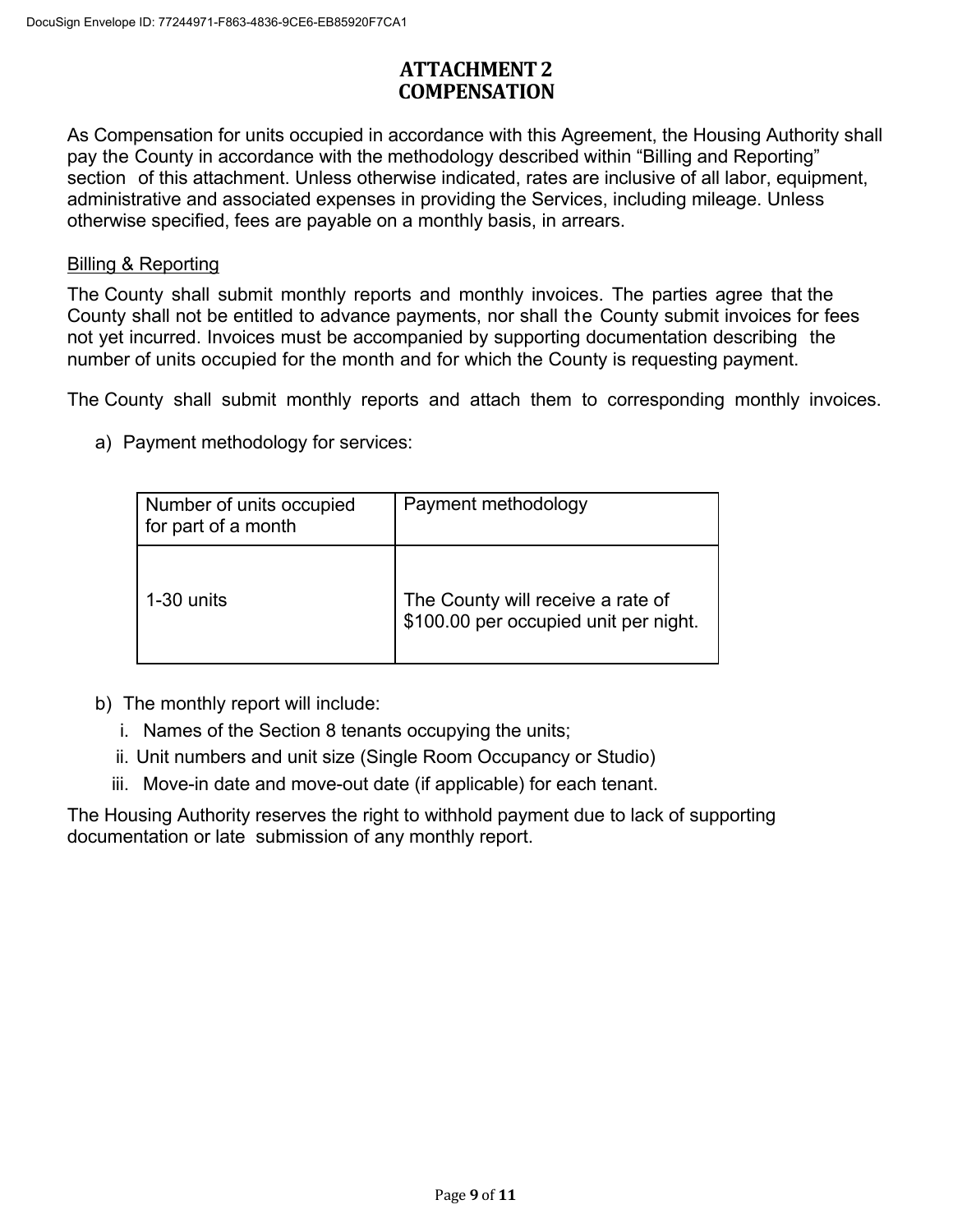## **ATTACHMENT2 COMPENSATION**

As Compensation for units occupied in accordance with this Agreement, the Housing Authority shall pay the County in accordance with the methodology described within "Billing and Reporting" section of this attachment. Unless otherwise indicated, rates are inclusive of all labor, equipment, administrative and associated expenses in providing the Services, including mileage. Unless otherwise specified, fees are payable on a monthly basis, in arrears.

#### Billing & Reporting

The County shall submit monthly reports and monthly invoices. The parties agree that the County shall not be entitled to advance payments, nor shall the County submit invoices for fees not yet incurred. Invoices must be accompanied by supporting documentation describing the number of units occupied for the month and for which the County is requesting payment.

The County shall submit monthly reports and attach them to corresponding monthly invoices.

a) Payment methodology for services:

| Number of units occupied<br>for part of a month | Payment methodology                                                        |
|-------------------------------------------------|----------------------------------------------------------------------------|
| 1-30 units                                      | The County will receive a rate of<br>\$100.00 per occupied unit per night. |

- b) The monthly report will include:
	- i. Names of the Section 8 tenants occupying the units;
	- ii. Unit numbers and unit size (Single Room Occupancy or Studio)
	- iii. Move-in date and move-out date (if applicable) for each tenant.

The Housing Authority reserves the right to withhold payment due to lack of supporting documentation or late submission of any monthly report.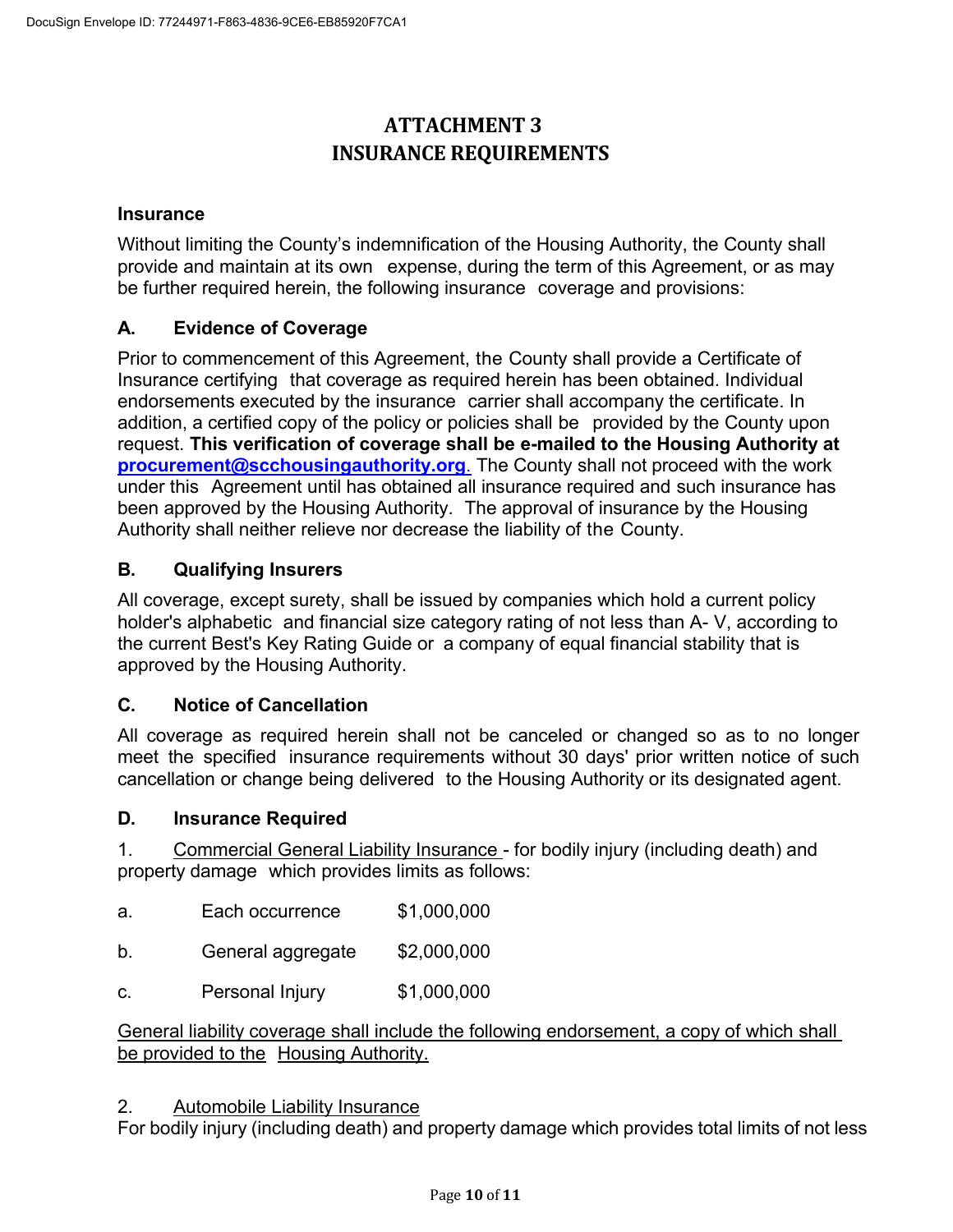# **ATTACHMENT 3 INSURANCE REQUIREMENTS**

#### **Insurance**

Without limiting the County's indemnification of the Housing Authority, the County shall provide and maintain at its own expense, during the term of this Agreement, or as may be further required herein, the following insurance coverage and provisions:

## **A. Evidence of Coverage**

Prior to commencement of this Agreement, the County shall provide a Certificate of Insurance certifying that coverage as required herein has been obtained. Individual endorsements executed by the insurance carrier shall accompany the certificate. In addition, a certified copy of the policy or policies shall be provided by the County upon request. **This verification of coverage shall be e-mailed to the Housing Authority at procurement@scchousingauthority.org**. The County shall not proceed with the work under this Agreement until has obtained all insurance required and such insurance has been approved by the Housing Authority. The approval of insurance by the Housing Authority shall neither relieve nor decrease the liability of the County.

#### **B. Qualifying Insurers**

All coverage, except surety, shall be issued by companies which hold a current policy holder's alphabetic and financial size category rating of not less than A- V, according to the current Best's Key Rating Guide or a company of equal financial stability that is approved by the Housing Authority.

## **C. Notice of Cancellation**

All coverage as required herein shall not be canceled or changed so as to no longer meet the specified insurance requirements without 30 days' prior written notice of such cancellation or change being delivered to the Housing Authority or its designated agent.

#### **D. Insurance Required**

1. Commercial General Liability Insurance - for bodily injury (including death) and property damage which provides limits as follows:

a. Each occurrence \$1,000,000

b. General aggregate \$2,000,000

c. Personal Injury \$1,000,000

## General liability coverage shall include the following endorsement, a copy of which shall be provided to the Housing Authority.

2. Automobile Liability Insurance

For bodily injury (including death) and property damage which provides total limits of not less